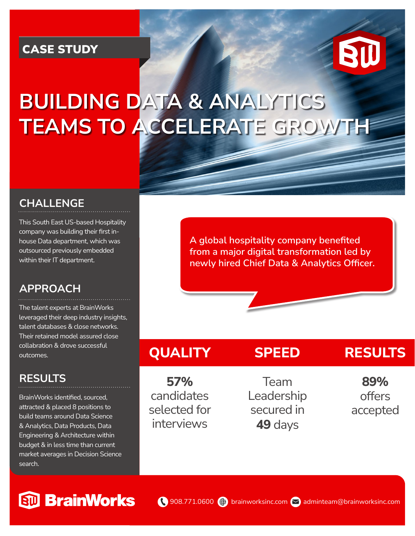### CASE STUDY



# **BUILDING DATA & ANALYTICS TEAMS TO ACCELERATE GROWTH**

#### **CHALLENGE**

This South East US-based Hospitality company was building their first inhouse Data department, which was outsourced previously embedded within their IT department.

#### **APPROACH**

The talent experts at BrainWorks leveraged their deep industry insights, talent databases & close networks. Their retained model assured close collabration & drove successful outcomes.

#### **RESULTS**

BrainWorks identified, sourced, attracted & placed 8 positions to build teams around Data Science & Analytics, Data Products, Data Engineering & Architecture within budget & in less time than current market averages in Decision Science search.

**A global hospitality company benefited from a major digital transformation led by newly hired Chief Data & Analytics Officer.** 

## **QUALITY**

**57%** candidates selected for interviews

Team Leadership secured in **49** days

**SPEED**

## **RESULTS**

**89%** offers accepted

# **StD** BrainWorks